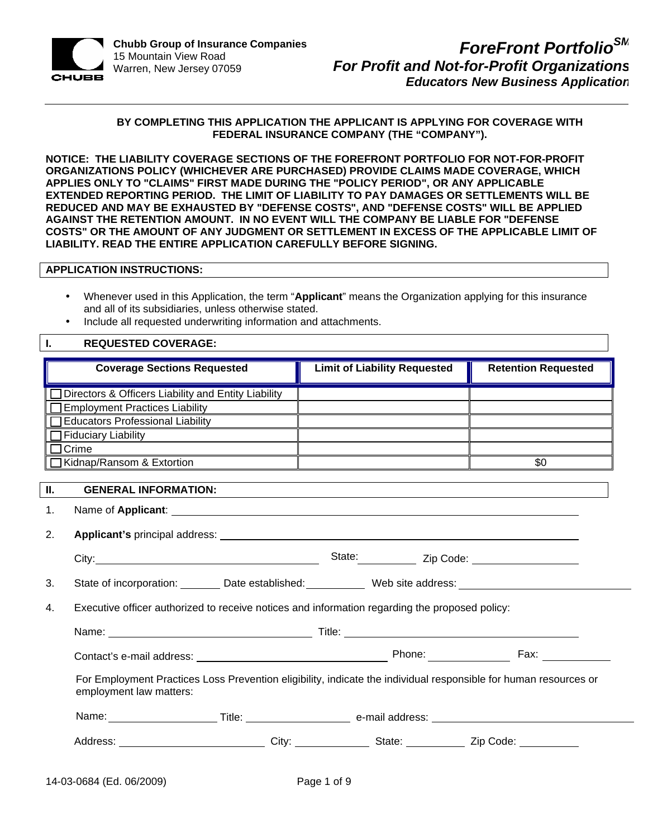

# **BY COMPLETING THIS APPLICATION THE APPLICANT IS APPLYING FOR COVERAGE WITH FEDERAL INSURANCE COMPANY (THE "COMPANY").**

**NOTICE: THE LIABILITY COVERAGE SECTIONS OF THE FOREFRONT PORTFOLIO FOR NOT-FOR-PROFIT ORGANIZATIONS POLICY (WHICHEVER ARE PURCHASED) PROVIDE CLAIMS MADE COVERAGE, WHICH APPLIES ONLY TO "CLAIMS" FIRST MADE DURING THE "POLICY PERIOD", OR ANY APPLICABLE EXTENDED REPORTING PERIOD. THE LIMIT OF LIABILITY TO PAY DAMAGES OR SETTLEMENTS WILL BE REDUCED AND MAY BE EXHAUSTED BY "DEFENSE COSTS", AND "DEFENSE COSTS" WILL BE APPLIED AGAINST THE RETENTION AMOUNT. IN NO EVENT WILL THE COMPANY BE LIABLE FOR "DEFENSE COSTS" OR THE AMOUNT OF ANY JUDGMENT OR SETTLEMENT IN EXCESS OF THE APPLICABLE LIMIT OF LIABILITY. READ THE ENTIRE APPLICATION CAREFULLY BEFORE SIGNING.**

### **APPLICATION INSTRUCTIONS:**

- Whenever used in this Application, the term "**Applicant**" means the Organization applying for this insurance and all of its subsidiaries, unless otherwise stated.
- Include all requested underwriting information and attachments.

### **I. REQUESTED COVERAGE:**

| <b>Coverage Sections Requested</b>                  | <b>Limit of Liability Requested</b>                                                                                                                                                                                            | <b>Retention Requested</b>                                                                                       |
|-----------------------------------------------------|--------------------------------------------------------------------------------------------------------------------------------------------------------------------------------------------------------------------------------|------------------------------------------------------------------------------------------------------------------|
| Directors & Officers Liability and Entity Liability |                                                                                                                                                                                                                                |                                                                                                                  |
| <b>Employment Practices Liability</b>               |                                                                                                                                                                                                                                |                                                                                                                  |
| <b>Educators Professional Liability</b>             |                                                                                                                                                                                                                                |                                                                                                                  |
|                                                     |                                                                                                                                                                                                                                |                                                                                                                  |
| Crime<br>□ Kidnap/Ransom & Extortion                |                                                                                                                                                                                                                                | \$0                                                                                                              |
|                                                     |                                                                                                                                                                                                                                |                                                                                                                  |
| <b>GENERAL INFORMATION:</b>                         |                                                                                                                                                                                                                                |                                                                                                                  |
|                                                     |                                                                                                                                                                                                                                |                                                                                                                  |
|                                                     |                                                                                                                                                                                                                                |                                                                                                                  |
|                                                     | City: 2ip Code: 2ip Code: 2ip Code: 2ip Code: 2ip Code: 2ip Code: 2ip Code: 2ip Code: 2ip Code: 2ip Code: 2ip Code: 2ip Code: 2ip Code: 2ip Code: 2ip Code: 2ip Code: 2ip Code: 2ip Code: 2ip Code: 2ip Code: 2ip Code: 2ip Co |                                                                                                                  |
|                                                     | State of incorporation: _________ Date established: _____________ Web site address:                                                                                                                                            |                                                                                                                  |
|                                                     | Executive officer authorized to receive notices and information regarding the proposed policy:                                                                                                                                 |                                                                                                                  |
|                                                     |                                                                                                                                                                                                                                |                                                                                                                  |
|                                                     |                                                                                                                                                                                                                                |                                                                                                                  |
| employment law matters:                             |                                                                                                                                                                                                                                | For Employment Practices Loss Prevention eligibility, indicate the individual responsible for human resources or |
|                                                     |                                                                                                                                                                                                                                |                                                                                                                  |
|                                                     |                                                                                                                                                                                                                                |                                                                                                                  |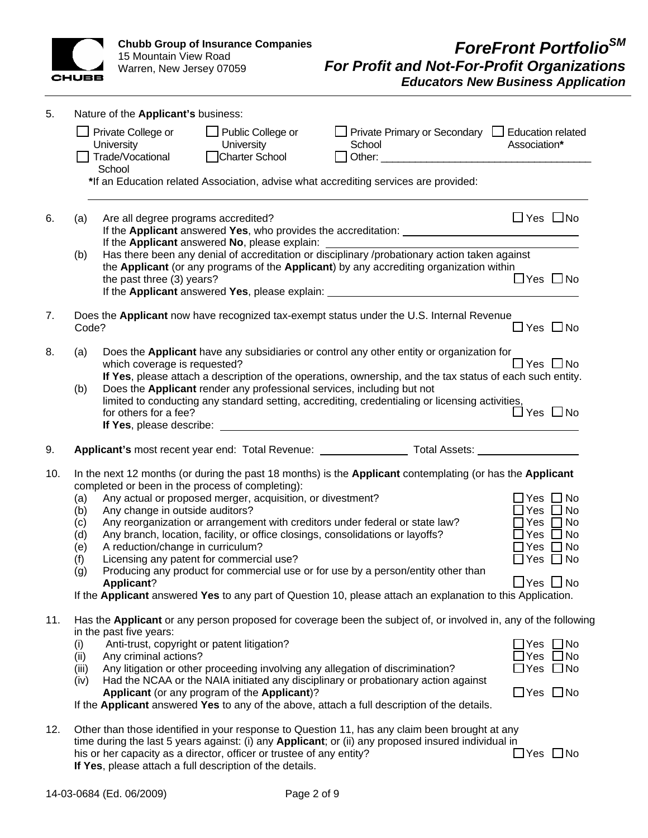

| 5.  | Nature of the Applicant's business:                                                                                                                                                                                                                                                                                                                                                                                                                                                                                                                                                                                                                                                                                                                                                         |                                                                                                                                                                |
|-----|---------------------------------------------------------------------------------------------------------------------------------------------------------------------------------------------------------------------------------------------------------------------------------------------------------------------------------------------------------------------------------------------------------------------------------------------------------------------------------------------------------------------------------------------------------------------------------------------------------------------------------------------------------------------------------------------------------------------------------------------------------------------------------------------|----------------------------------------------------------------------------------------------------------------------------------------------------------------|
|     | □ Private Primary or Secondary □ Education related<br>Private College or<br>$\Box$ Public College or<br>University<br>University<br>School<br>University<br>Trade/Vocational<br>□Charter School<br>School                                                                                                                                                                                                                                                                                                                                                                                                                                                                                                                                                                                   | Association*                                                                                                                                                   |
|     | *If an Education related Association, advise what accrediting services are provided:                                                                                                                                                                                                                                                                                                                                                                                                                                                                                                                                                                                                                                                                                                        |                                                                                                                                                                |
| 6.  | Are all degree programs accredited?<br>(a)                                                                                                                                                                                                                                                                                                                                                                                                                                                                                                                                                                                                                                                                                                                                                  | $\Box$ Yes $\Box$ No                                                                                                                                           |
|     | If the Applicant answered No, please explain:<br>Has there been any denial of accreditation or disciplinary /probationary action taken against<br>(b)<br>the Applicant (or any programs of the Applicant) by any accrediting organization within<br>the past three (3) years?                                                                                                                                                                                                                                                                                                                                                                                                                                                                                                               | $\Box$ Yes $\Box$ No                                                                                                                                           |
| 7.  | Does the Applicant now have recognized tax-exempt status under the U.S. Internal Revenue<br>Code?                                                                                                                                                                                                                                                                                                                                                                                                                                                                                                                                                                                                                                                                                           | $\Box$ Yes $\Box$ No                                                                                                                                           |
| 8.  | Does the Applicant have any subsidiaries or control any other entity or organization for<br>(a)<br>which coverage is requested?<br>If Yes, please attach a description of the operations, ownership, and the tax status of each such entity.<br>Does the Applicant render any professional services, including but not<br>(b)<br>limited to conducting any standard setting, accrediting, credentialing or licensing activities,<br>for others for a fee?<br>If Yes, please describe: <b>Fig. 2016</b> and the set of the set of the set of the set of the set of the set of the set of the set of the set of the set of the set of the set of the set of the set of the set of the set of the s                                                                                            | $\Box$ Yes $\Box$ No<br>$\Box$ Yes $\Box$ No                                                                                                                   |
| 9.  |                                                                                                                                                                                                                                                                                                                                                                                                                                                                                                                                                                                                                                                                                                                                                                                             |                                                                                                                                                                |
| 10. | In the next 12 months (or during the past 18 months) is the Applicant contemplating (or has the Applicant<br>completed or been in the process of completing):<br>Any actual or proposed merger, acquisition, or divestment?<br>(a)<br>Any change in outside auditors?<br>(b)<br>Any reorganization or arrangement with creditors under federal or state law?<br>(c)<br>Any branch, location, facility, or office closings, consolidations or layoffs?<br>(d)<br>A reduction/change in curriculum?<br>(e)<br>Licensing any patent for commercial use?<br>(f)<br>Producing any product for commercial use or for use by a person/entity other than<br>(g)<br><b>Applicant?</b><br>If the Applicant answered Yes to any part of Question 10, please attach an explanation to this Application. | ∃Yes □No<br>$\Box$ Yes $\Box$ No<br>$\Box$ Yes $\Box$ No<br>$\square$ Yes $\square$ No<br>$\Box$ Yes $\Box$ No<br>$\Box$ Yes $\Box$ No<br>$\Box$ Yes $\Box$ No |
| 11. | Has the Applicant or any person proposed for coverage been the subject of, or involved in, any of the following<br>in the past five years:<br>Anti-trust, copyright or patent litigation?<br>(i)<br>Any criminal actions?<br>(ii)<br>Any litigation or other proceeding involving any allegation of discrimination?<br>(iii)<br>Had the NCAA or the NAIA initiated any disciplinary or probationary action against<br>(iv)<br>Applicant (or any program of the Applicant)?<br>If the Applicant answered Yes to any of the above, attach a full description of the details.                                                                                                                                                                                                                  | ]Yes □No<br>$Yes \Box No$<br>]Yes □No<br>$\Box$ Yes $\Box$ No                                                                                                  |
| 12. | Other than those identified in your response to Question 11, has any claim been brought at any<br>time during the last 5 years against: (i) any Applicant; or (ii) any proposed insured individual in<br>his or her capacity as a director, officer or trustee of any entity?<br>If Yes, please attach a full description of the details.                                                                                                                                                                                                                                                                                                                                                                                                                                                   | $\Box$ Yes $\Box$ No                                                                                                                                           |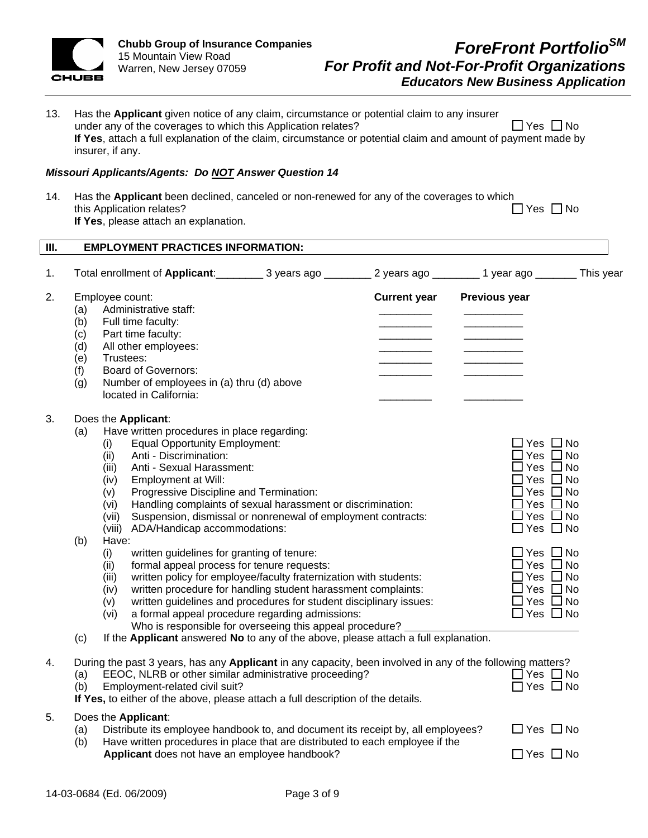

| 13.  | Has the Applicant given notice of any claim, circumstance or potential claim to any insurer<br>under any of the coverages to which this Application relates?<br>$\sqcup$ Yes $\sqcup$ No<br>If Yes, attach a full explanation of the claim, circumstance or potential claim and amount of payment made by<br>insurer, if any.                                                                                                                                                                                                                                                                                                                                                                                                                                                                                                                                                                                                                                                                                                                                |                                                                                                                                                                                                                                                                                      |  |  |  |  |
|------|--------------------------------------------------------------------------------------------------------------------------------------------------------------------------------------------------------------------------------------------------------------------------------------------------------------------------------------------------------------------------------------------------------------------------------------------------------------------------------------------------------------------------------------------------------------------------------------------------------------------------------------------------------------------------------------------------------------------------------------------------------------------------------------------------------------------------------------------------------------------------------------------------------------------------------------------------------------------------------------------------------------------------------------------------------------|--------------------------------------------------------------------------------------------------------------------------------------------------------------------------------------------------------------------------------------------------------------------------------------|--|--|--|--|
|      | <b>Missouri Applicants/Agents: Do NOT Answer Question 14</b>                                                                                                                                                                                                                                                                                                                                                                                                                                                                                                                                                                                                                                                                                                                                                                                                                                                                                                                                                                                                 |                                                                                                                                                                                                                                                                                      |  |  |  |  |
| 14.  | Has the Applicant been declined, canceled or non-renewed for any of the coverages to which<br>this Application relates?<br>If Yes, please attach an explanation.                                                                                                                                                                                                                                                                                                                                                                                                                                                                                                                                                                                                                                                                                                                                                                                                                                                                                             | $\Box$ Yes $\Box$ No                                                                                                                                                                                                                                                                 |  |  |  |  |
| III. | <b>EMPLOYMENT PRACTICES INFORMATION:</b>                                                                                                                                                                                                                                                                                                                                                                                                                                                                                                                                                                                                                                                                                                                                                                                                                                                                                                                                                                                                                     |                                                                                                                                                                                                                                                                                      |  |  |  |  |
| 1.   | Total enrollment of Applicant: 3 years ago __________ 2 years ago _________ 1 year ago _________ This year                                                                                                                                                                                                                                                                                                                                                                                                                                                                                                                                                                                                                                                                                                                                                                                                                                                                                                                                                   |                                                                                                                                                                                                                                                                                      |  |  |  |  |
| 2.   | Employee count:<br><b>Current year</b><br><b>Previous year</b><br>Administrative staff:<br>(a)<br>Full time faculty:<br>(b)<br>Part time faculty:<br>(c)<br>All other employees:<br>(d)<br>(e)<br>Trustees:<br>(f)<br><b>Board of Governors:</b><br>Number of employees in (a) thru (d) above<br>(g)<br>located in California:                                                                                                                                                                                                                                                                                                                                                                                                                                                                                                                                                                                                                                                                                                                               |                                                                                                                                                                                                                                                                                      |  |  |  |  |
| 3.   | Does the Applicant:<br>Have written procedures in place regarding:<br>(a)<br><b>Equal Opportunity Employment:</b><br>(i)<br>Anti - Discrimination:<br>(ii)<br>Anti - Sexual Harassment:<br>(iii)<br>Employment at Will:<br>(iv)<br>Progressive Discipline and Termination:<br>(v)<br>Handling complaints of sexual harassment or discrimination:<br>(vi)<br>Suspension, dismissal or nonrenewal of employment contracts:<br>(vii)<br>(viii) ADA/Handicap accommodations:<br>(b)<br>Have:<br>written guidelines for granting of tenure:<br>(i)<br>formal appeal process for tenure requests:<br>(ii)<br>written policy for employee/faculty fraternization with students:<br>(iii)<br>written procedure for handling student harassment complaints:<br>(iv)<br>written guidelines and procedures for student disciplinary issues:<br>(v)<br>a formal appeal procedure regarding admissions:<br>(vi)<br>Who is responsible for overseeing this appeal procedure?<br>If the Applicant answered No to any of the above, please attach a full explanation.<br>(c) | $\Box$ Yes $\Box$ No<br> Yes □No<br>¦Yes □No<br>Yes $\Box$ No<br>Yes $\Box$ No<br>$\square$ Yes $\square$ No<br>□ Yes □ No<br>$\Box$ Yes $\Box$ No<br>$\Box$ Yes $\Box$ No<br>$\Box$ Yes $\Box$ No<br>$\Box$ Yes $\Box$ No<br>Yes $\Box$ No<br>$Yes \Box No$<br>$\Box$ Yes $\Box$ No |  |  |  |  |
| 4.   | During the past 3 years, has any Applicant in any capacity, been involved in any of the following matters?<br>EEOC, NLRB or other similar administrative proceeding?<br>(a)<br>Employment-related civil suit?<br>(b)<br>If Yes, to either of the above, please attach a full description of the details.                                                                                                                                                                                                                                                                                                                                                                                                                                                                                                                                                                                                                                                                                                                                                     | $\Box$ Yes $\Box$ No<br>$\Box$ Yes $\Box$ No                                                                                                                                                                                                                                         |  |  |  |  |
| 5.   | Does the Applicant:<br>Distribute its employee handbook to, and document its receipt by, all employees?<br>(a)<br>Have written procedures in place that are distributed to each employee if the<br>(b)<br>Applicant does not have an employee handbook?                                                                                                                                                                                                                                                                                                                                                                                                                                                                                                                                                                                                                                                                                                                                                                                                      | $\Box$ Yes $\Box$ No<br>$\Box$ Yes $\Box$ No                                                                                                                                                                                                                                         |  |  |  |  |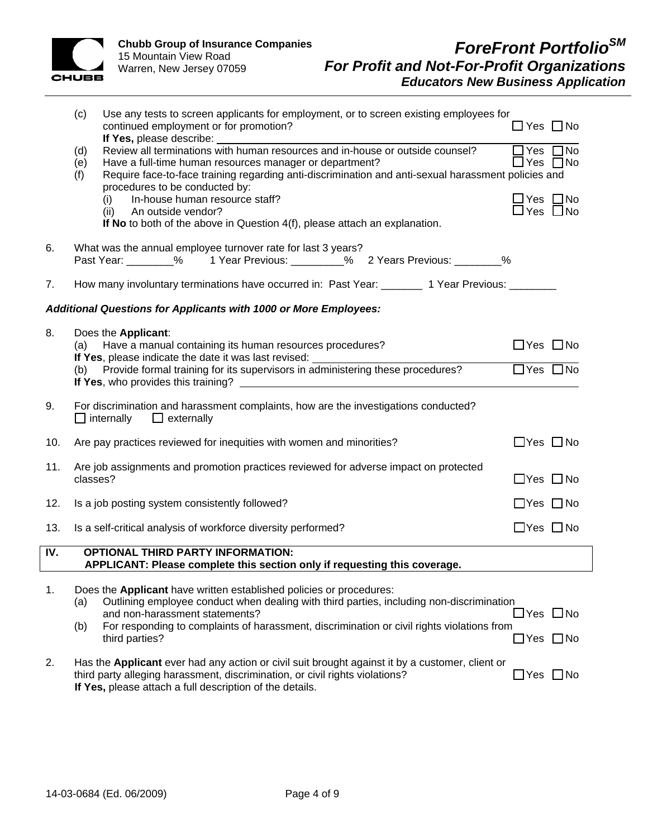

|     | (c)               | Use any tests to screen applicants for employment, or to screen existing employees for<br>continued employment or for promotion?<br>If Yes, please describe:                                                                                                                      | $\Box$ Yes $\Box$ No                         |  |
|-----|-------------------|-----------------------------------------------------------------------------------------------------------------------------------------------------------------------------------------------------------------------------------------------------------------------------------|----------------------------------------------|--|
|     | (d)<br>(e)<br>(f) | Review all terminations with human resources and in-house or outside counsel?<br>Have a full-time human resources manager or department?<br>Require face-to-face training regarding anti-discrimination and anti-sexual harassment policies and<br>procedures to be conducted by: | $\Box$ Yes $\Box$ No<br>$\Box$ Yes $\Box$ No |  |
|     |                   | In-house human resource staff?<br>(i)<br>(ii) An outside vendor?<br>If No to both of the above in Question 4(f), please attach an explanation.                                                                                                                                    | $\Box$ Yes $\Box$ No<br>$\Box$ Yes $\Box$ No |  |
| 6.  |                   | What was the annual employee turnover rate for last 3 years?<br>Past Year: ________% 1 Year Previous: ________% 2 Years Previous: ________%                                                                                                                                       |                                              |  |
| 7.  |                   | How many involuntary terminations have occurred in: Past Year: ________ 1 Year Previous: ________                                                                                                                                                                                 |                                              |  |
|     |                   | <b>Additional Questions for Applicants with 1000 or More Employees:</b>                                                                                                                                                                                                           |                                              |  |
| 8.  |                   | Does the Applicant:<br>(a) Have a manual containing its human resources procedures?<br>If Yes, please indicate the date it was last revised:                                                                                                                                      | $\Box$ Yes $\Box$ No                         |  |
|     | (b)               | Provide formal training for its supervisors in administering these procedures?                                                                                                                                                                                                    | $\Box$ Yes $\Box$ No                         |  |
| 9.  |                   | For discrimination and harassment complaints, how are the investigations conducted?<br>$\Box$ internally $\Box$ externally                                                                                                                                                        |                                              |  |
| 10. |                   | Are pay practices reviewed for inequities with women and minorities?                                                                                                                                                                                                              | $\Box$ Yes $\Box$ No                         |  |
| 11. | classes?          | Are job assignments and promotion practices reviewed for adverse impact on protected                                                                                                                                                                                              | $\Box$ Yes $\Box$ No                         |  |
| 12. |                   | Is a job posting system consistently followed?                                                                                                                                                                                                                                    | $\Box$ Yes $\Box$ No                         |  |
| 13. |                   | Is a self-critical analysis of workforce diversity performed?                                                                                                                                                                                                                     | $\Box$ Yes $\Box$ No                         |  |
| IV. |                   | <b>OPTIONAL THIRD PARTY INFORMATION:</b><br>APPLICANT: Please complete this section only if requesting this coverage.                                                                                                                                                             |                                              |  |
| 1.  | (a)               | Does the Applicant have written established policies or procedures:<br>Outlining employee conduct when dealing with third parties, including non-discrimination                                                                                                                   |                                              |  |
|     | (b)               | and non-harassment statements?<br>For responding to complaints of harassment, discrimination or civil rights violations from<br>third parties?                                                                                                                                    | $\Box$ Yes $\Box$ No<br>∃Yes □No             |  |
| 2.  |                   | Has the Applicant ever had any action or civil suit brought against it by a customer, client or<br>third party alleging harassment, discrimination, or civil rights violations?                                                                                                   | $\Box$ Yes $\Box$ No                         |  |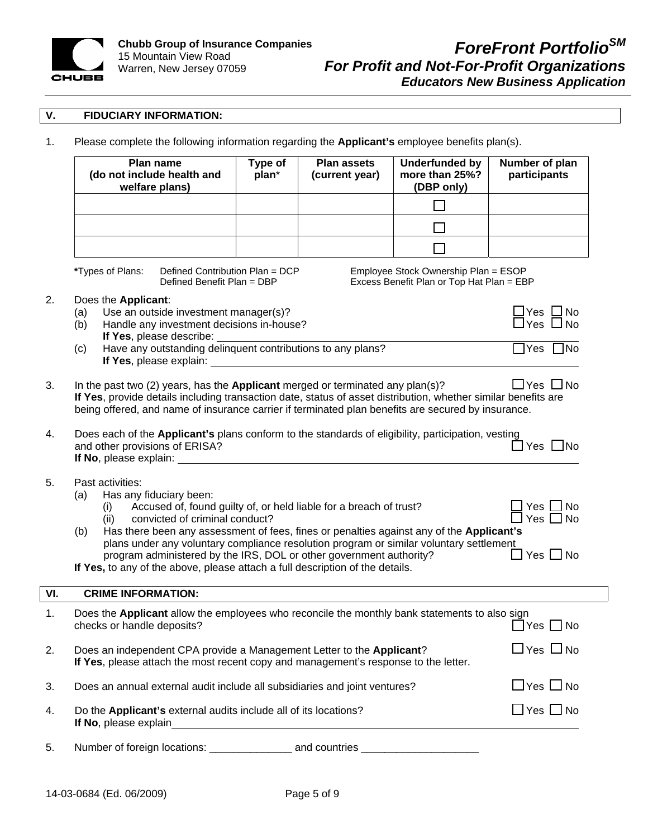

# **V. FIDUCIARY INFORMATION:**

1. Please complete the following information regarding the **Applicant's** employee benefits plan(s).

|     | Plan name<br>(do not include health and<br>welfare plans)                                                                                                                                                                                                                                                                                                                                                                                      | Type of<br>plan* | <b>Plan assets</b><br>(current year) | <b>Underfunded by</b><br>more than 25%?<br>(DBP only)                             | Number of plan<br>participants                   |  |
|-----|------------------------------------------------------------------------------------------------------------------------------------------------------------------------------------------------------------------------------------------------------------------------------------------------------------------------------------------------------------------------------------------------------------------------------------------------|------------------|--------------------------------------|-----------------------------------------------------------------------------------|--------------------------------------------------|--|
|     |                                                                                                                                                                                                                                                                                                                                                                                                                                                |                  |                                      |                                                                                   |                                                  |  |
|     |                                                                                                                                                                                                                                                                                                                                                                                                                                                |                  |                                      |                                                                                   |                                                  |  |
|     |                                                                                                                                                                                                                                                                                                                                                                                                                                                |                  |                                      |                                                                                   |                                                  |  |
|     | *Types of Plans:<br>Defined Contribution Plan = DCP<br>Defined Benefit Plan = DBP                                                                                                                                                                                                                                                                                                                                                              |                  |                                      | Employee Stock Ownership Plan = ESOP<br>Excess Benefit Plan or Top Hat Plan = EBP |                                                  |  |
| 2.  | Does the Applicant:<br>Use an outside investment manager(s)?<br>(a)<br>Handle any investment decisions in-house?<br>(b)                                                                                                                                                                                                                                                                                                                        |                  |                                      |                                                                                   | ⊿Yes ∐No<br>$\sqsupset$ Yes $\;\Box$ No          |  |
|     | Have any outstanding delinquent contributions to any plans?<br>(c)<br><b>If Yes</b> , please explain: <b>All and Secure 2014</b>                                                                                                                                                                                                                                                                                                               |                  |                                      |                                                                                   | $\Box$ Yes $\Box$ No                             |  |
| 3.  | In the past two $(2)$ years, has the <b>Applicant</b> merged or terminated any plan(s)?<br>If Yes, provide details including transaction date, status of asset distribution, whether similar benefits are<br>being offered, and name of insurance carrier if terminated plan benefits are secured by insurance.                                                                                                                                |                  |                                      |                                                                                   | $\Box$ Yes $\Box$ No                             |  |
| 4.  | Does each of the Applicant's plans conform to the standards of eligibility, participation, vesting<br>and other provisions of ERISA?<br>If No, please explain: _________                                                                                                                                                                                                                                                                       |                  |                                      |                                                                                   | $Yes \Box No$                                    |  |
| 5.  | Past activities:<br>Has any fiduciary been:<br>(a)<br>Accused of, found guilty of, or held liable for a breach of trust?<br>(i)<br>convicted of criminal conduct?<br>(ii)<br>Has there been any assessment of fees, fines or penalties against any of the Applicant's<br>(b)<br>plans under any voluntary compliance resolution program or similar voluntary settlement<br>program administered by the IRS, DOL or other government authority? |                  |                                      |                                                                                   | Yes<br>l No<br>Yes<br><b>No</b><br>Yes $\Box$ No |  |
|     | If Yes, to any of the above, please attach a full description of the details.                                                                                                                                                                                                                                                                                                                                                                  |                  |                                      |                                                                                   |                                                  |  |
| VI. | <b>CRIME INFORMATION:</b>                                                                                                                                                                                                                                                                                                                                                                                                                      |                  |                                      |                                                                                   |                                                  |  |
| 1.  | Does the Applicant allow the employees who reconcile the monthly bank statements to also sign                                                                                                                                                                                                                                                                                                                                                  |                  |                                      |                                                                                   |                                                  |  |
| 2.  | $\Box$ Yes $\Box$ No<br>Does an independent CPA provide a Management Letter to the Applicant?<br>If Yes, please attach the most recent copy and management's response to the letter.                                                                                                                                                                                                                                                           |                  |                                      |                                                                                   |                                                  |  |
| 3.  | Does an annual external audit include all subsidiaries and joint ventures?                                                                                                                                                                                                                                                                                                                                                                     |                  |                                      |                                                                                   | $\Box$ Yes $\Box$ No                             |  |
| 4.  | Do the Applicant's external audits include all of its locations?                                                                                                                                                                                                                                                                                                                                                                               |                  |                                      |                                                                                   | $\Box$ Yes $\Box$ No                             |  |
| 5.  |                                                                                                                                                                                                                                                                                                                                                                                                                                                |                  |                                      |                                                                                   |                                                  |  |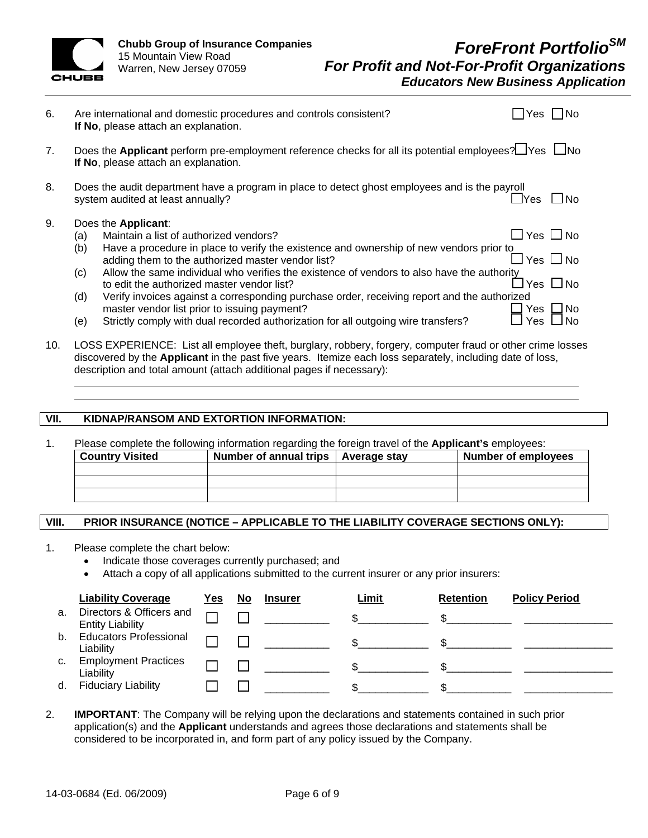

*Educators New Business Application*

| 6. | 7es]<br>1No<br>Are international and domestic procedures and controls consistent?<br>If No, please attach an explanation.                                                                                                                                                                                                                                                                                                                                                                                                                                                                                                                                                                                      |  |
|----|----------------------------------------------------------------------------------------------------------------------------------------------------------------------------------------------------------------------------------------------------------------------------------------------------------------------------------------------------------------------------------------------------------------------------------------------------------------------------------------------------------------------------------------------------------------------------------------------------------------------------------------------------------------------------------------------------------------|--|
| 7. | Does the Applicant perform pre-employment reference checks for all its potential employees? For ENO<br>If No, please attach an explanation.                                                                                                                                                                                                                                                                                                                                                                                                                                                                                                                                                                    |  |
| 8. | Does the audit department have a program in place to detect ghost employees and is the payroll<br>. TYes<br>system audited at least annually?<br>1 No                                                                                                                                                                                                                                                                                                                                                                                                                                                                                                                                                          |  |
| 9. | Does the Applicant:<br>$\Box$ Yes $\Box$ No<br>Maintain a list of authorized vendors?<br>(a)<br>Have a procedure in place to verify the existence and ownership of new vendors prior to<br>(b)<br>$\Box$ Yes $\Box$ No<br>adding them to the authorized master vendor list?<br>Allow the same individual who verifies the existence of vendors to also have the authority<br>(c)<br>]Yes □No<br>to edit the authorized master vendor list?<br>(d)<br>Verify invoices against a corresponding purchase order, receiving report and the authorized<br>master vendor list prior to issuing payment?<br>Yes □No<br>Strictly comply with dual recorded authorization for all outgoing wire transfers?<br>Yes<br>(e) |  |

10. LOSS EXPERIENCE: List all employee theft, burglary, robbery, forgery, computer fraud or other crime losses discovered by the **Applicant** in the past five years. Itemize each loss separately, including date of loss, description and total amount (attach additional pages if necessary):

# **VII. KIDNAP/RANSOM AND EXTORTION INFORMATION:**

1. Please complete the following information regarding the foreign travel of the **Applicant's** employees:

| <b>Country Visited</b> | Number of annual trips   Average stay | <b>Number of employees</b> |
|------------------------|---------------------------------------|----------------------------|
|                        |                                       |                            |
|                        |                                       |                            |
|                        |                                       |                            |

#### **VIII. PRIOR INSURANCE (NOTICE – APPLICABLE TO THE LIABILITY COVERAGE SECTIONS ONLY):**

- 1. Please complete the chart below:
	- Indicate those coverages currently purchased; and
	- Attach a copy of all applications submitted to the current insurer or any prior insurers:

|    | <b>Liability Coverage</b>                           | Yes | No | <b>Insurer</b> | <b>Limit</b> | <b>Retention</b> | <b>Policy Period</b> |
|----|-----------------------------------------------------|-----|----|----------------|--------------|------------------|----------------------|
| a. | Directors & Officers and<br><b>Entity Liability</b> |     |    |                |              |                  |                      |
| b. | <b>Educators Professional</b><br>Liability          |     |    |                |              |                  |                      |
| C. | <b>Employment Practices</b><br>Liability            |     |    |                |              |                  |                      |
| d. | <b>Fiduciary Liability</b>                          |     |    |                |              |                  |                      |

2. **IMPORTANT**: The Company will be relying upon the declarations and statements contained in such prior application(s) and the **Applicant** understands and agrees those declarations and statements shall be considered to be incorporated in, and form part of any policy issued by the Company.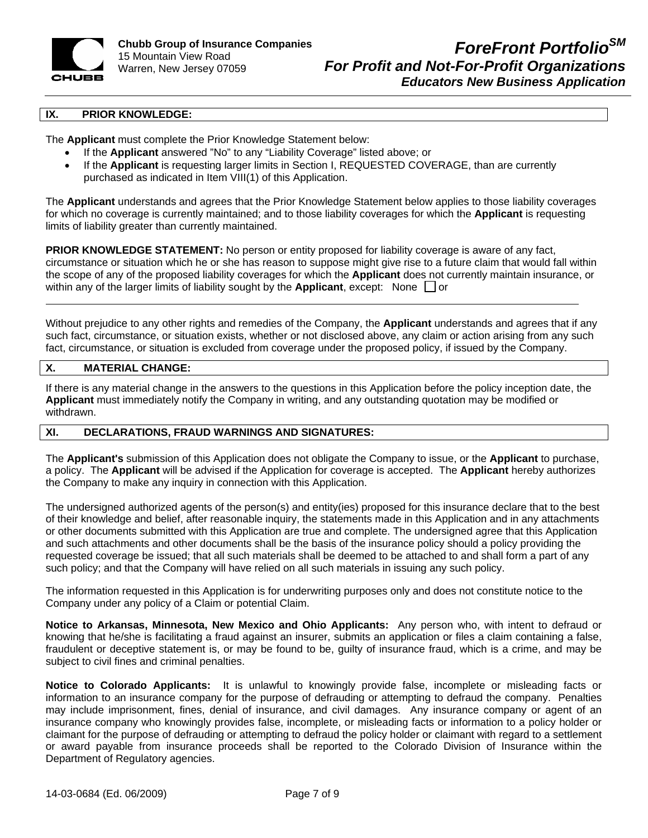

#### **IX. PRIOR KNOWLEDGE:**

The **Applicant** must complete the Prior Knowledge Statement below:

- If the **Applicant** answered "No" to any "Liability Coverage" listed above; or
- If the **Applicant** is requesting larger limits in Section I, REQUESTED COVERAGE, than are currently purchased as indicated in Item VIII(1) of this Application.

The **Applicant** understands and agrees that the Prior Knowledge Statement below applies to those liability coverages for which no coverage is currently maintained; and to those liability coverages for which the **Applicant** is requesting limits of liability greater than currently maintained.

**PRIOR KNOWLEDGE STATEMENT:** No person or entity proposed for liability coverage is aware of any fact, circumstance or situation which he or she has reason to suppose might give rise to a future claim that would fall within the scope of any of the proposed liability coverages for which the **Applicant** does not currently maintain insurance, or within any of the larger limits of liability sought by the **Applicant**, except: None  $\Box$  or

Without prejudice to any other rights and remedies of the Company, the **Applicant** understands and agrees that if any such fact, circumstance, or situation exists, whether or not disclosed above, any claim or action arising from any such fact, circumstance, or situation is excluded from coverage under the proposed policy, if issued by the Company.

# **X. MATERIAL CHANGE:**

If there is any material change in the answers to the questions in this Application before the policy inception date, the **Applicant** must immediately notify the Company in writing, and any outstanding quotation may be modified or withdrawn.

### **XI. DECLARATIONS, FRAUD WARNINGS AND SIGNATURES:**

The **Applicant's** submission of this Application does not obligate the Company to issue, or the **Applicant** to purchase, a policy. The **Applicant** will be advised if the Application for coverage is accepted. The **Applicant** hereby authorizes the Company to make any inquiry in connection with this Application.

The undersigned authorized agents of the person(s) and entity(ies) proposed for this insurance declare that to the best of their knowledge and belief, after reasonable inquiry, the statements made in this Application and in any attachments or other documents submitted with this Application are true and complete. The undersigned agree that this Application and such attachments and other documents shall be the basis of the insurance policy should a policy providing the requested coverage be issued; that all such materials shall be deemed to be attached to and shall form a part of any such policy; and that the Company will have relied on all such materials in issuing any such policy.

The information requested in this Application is for underwriting purposes only and does not constitute notice to the Company under any policy of a Claim or potential Claim.

**Notice to Arkansas, Minnesota, New Mexico and Ohio Applicants:** Any person who, with intent to defraud or knowing that he/she is facilitating a fraud against an insurer, submits an application or files a claim containing a false, fraudulent or deceptive statement is, or may be found to be, guilty of insurance fraud, which is a crime, and may be subject to civil fines and criminal penalties.

**Notice to Colorado Applicants:** It is unlawful to knowingly provide false, incomplete or misleading facts or information to an insurance company for the purpose of defrauding or attempting to defraud the company. Penalties may include imprisonment, fines, denial of insurance, and civil damages. Any insurance company or agent of an insurance company who knowingly provides false, incomplete, or misleading facts or information to a policy holder or claimant for the purpose of defrauding or attempting to defraud the policy holder or claimant with regard to a settlement or award payable from insurance proceeds shall be reported to the Colorado Division of Insurance within the Department of Regulatory agencies.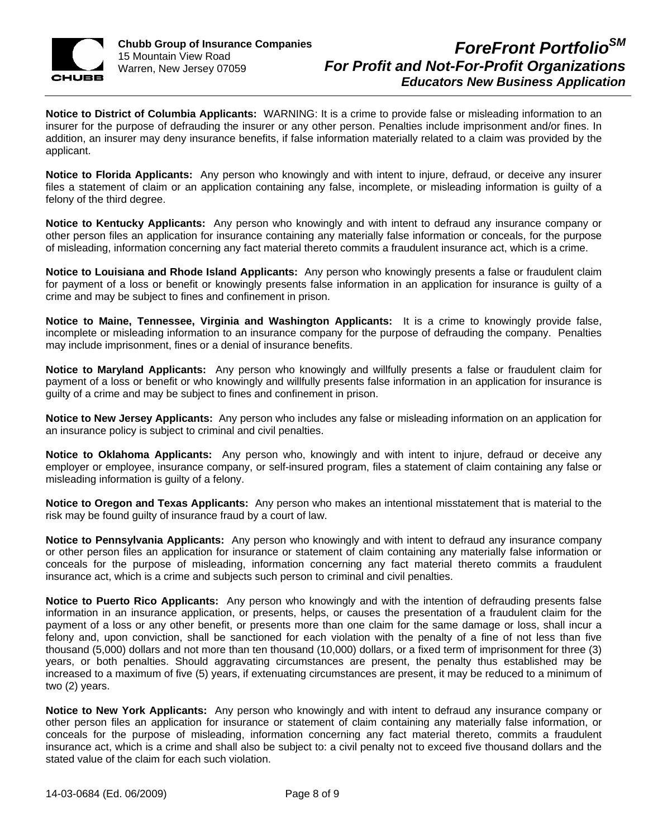

**Notice to District of Columbia Applicants:** WARNING: It is a crime to provide false or misleading information to an insurer for the purpose of defrauding the insurer or any other person. Penalties include imprisonment and/or fines. In addition, an insurer may deny insurance benefits, if false information materially related to a claim was provided by the applicant.

**Notice to Florida Applicants:** Any person who knowingly and with intent to injure, defraud, or deceive any insurer files a statement of claim or an application containing any false, incomplete, or misleading information is guilty of a felony of the third degree.

**Notice to Kentucky Applicants:** Any person who knowingly and with intent to defraud any insurance company or other person files an application for insurance containing any materially false information or conceals, for the purpose of misleading, information concerning any fact material thereto commits a fraudulent insurance act, which is a crime.

**Notice to Louisiana and Rhode Island Applicants:** Any person who knowingly presents a false or fraudulent claim for payment of a loss or benefit or knowingly presents false information in an application for insurance is guilty of a crime and may be subject to fines and confinement in prison.

**Notice to Maine, Tennessee, Virginia and Washington Applicants:** It is a crime to knowingly provide false, incomplete or misleading information to an insurance company for the purpose of defrauding the company. Penalties may include imprisonment, fines or a denial of insurance benefits.

**Notice to Maryland Applicants:** Any person who knowingly and willfully presents a false or fraudulent claim for payment of a loss or benefit or who knowingly and willfully presents false information in an application for insurance is guilty of a crime and may be subject to fines and confinement in prison.

**Notice to New Jersey Applicants:** Any person who includes any false or misleading information on an application for an insurance policy is subject to criminal and civil penalties.

**Notice to Oklahoma Applicants:** Any person who, knowingly and with intent to injure, defraud or deceive any employer or employee, insurance company, or self-insured program, files a statement of claim containing any false or misleading information is guilty of a felony.

**Notice to Oregon and Texas Applicants:** Any person who makes an intentional misstatement that is material to the risk may be found guilty of insurance fraud by a court of law.

**Notice to Pennsylvania Applicants:** Any person who knowingly and with intent to defraud any insurance company or other person files an application for insurance or statement of claim containing any materially false information or conceals for the purpose of misleading, information concerning any fact material thereto commits a fraudulent insurance act, which is a crime and subjects such person to criminal and civil penalties.

**Notice to Puerto Rico Applicants:** Any person who knowingly and with the intention of defrauding presents false information in an insurance application, or presents, helps, or causes the presentation of a fraudulent claim for the payment of a loss or any other benefit, or presents more than one claim for the same damage or loss, shall incur a felony and, upon conviction, shall be sanctioned for each violation with the penalty of a fine of not less than five thousand (5,000) dollars and not more than ten thousand (10,000) dollars, or a fixed term of imprisonment for three (3) years, or both penalties. Should aggravating circumstances are present, the penalty thus established may be increased to a maximum of five (5) years, if extenuating circumstances are present, it may be reduced to a minimum of two (2) years.

**Notice to New York Applicants:** Any person who knowingly and with intent to defraud any insurance company or other person files an application for insurance or statement of claim containing any materially false information, or conceals for the purpose of misleading, information concerning any fact material thereto, commits a fraudulent insurance act, which is a crime and shall also be subject to: a civil penalty not to exceed five thousand dollars and the stated value of the claim for each such violation.